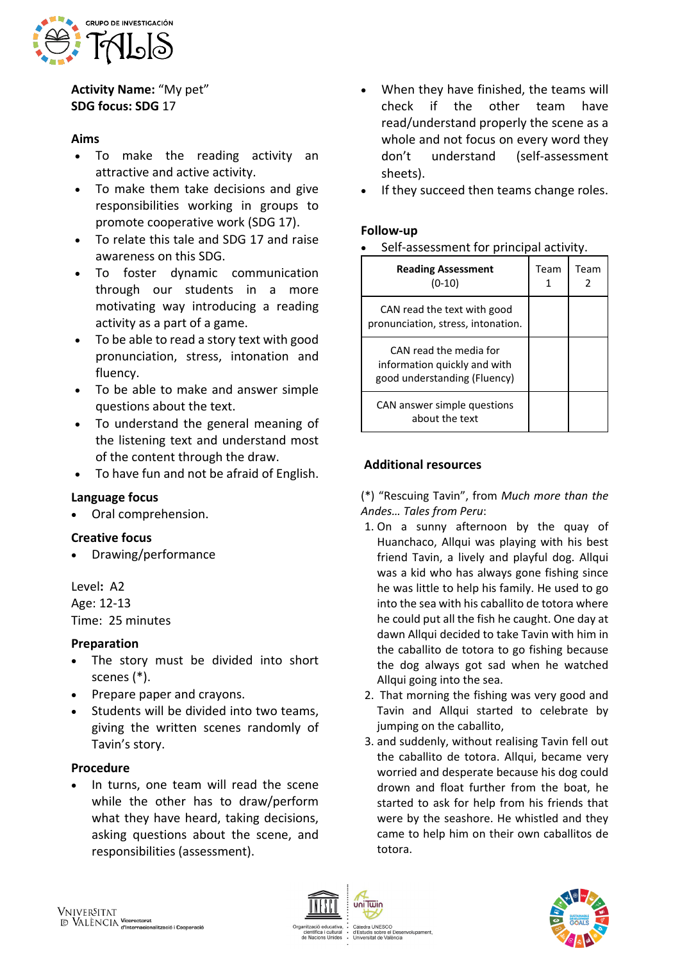

**Activity Name:** "My pet" **SDG focus: SDG** 17

### **Aims**

- To make the reading activity an attractive and active activity.
- To make them take decisions and give responsibilities working in groups to promote cooperative work (SDG 17).
- To relate this tale and SDG 17 and raise awareness on this SDG.
- To foster dynamic communication through our students in a more motivating way introducing a reading activity as a part of a game.
- To be able to read a story text with good pronunciation, stress, intonation and fluency.
- To be able to make and answer simple questions about the text.
- To understand the general meaning of the listening text and understand most of the content through the draw.
- To have fun and not be afraid of English.

#### **Language focus**

• Oral comprehension.

# **Creative focus**

• Drawing/performance

Level**:** A2 Age: 12-13

Time: 25 minutes

# **Preparation**

- The story must be divided into short scenes (\*).
- Prepare paper and crayons.
- Students will be divided into two teams, giving the written scenes randomly of Tavin's story.

#### **Procedure**

In turns, one team will read the scene while the other has to draw/perform what they have heard, taking decisions, asking questions about the scene, and responsibilities (assessment).

- When they have finished, the teams will check if the other team have read/understand properly the scene as a whole and not focus on every word they don't understand (self-assessment sheets).
- If they succeed then teams change roles.

## **Follow-up**

Self-assessment for principal activity.

| <b>Reading Assessment</b><br>$(0-10)$                                                  | Team | Team |
|----------------------------------------------------------------------------------------|------|------|
| CAN read the text with good<br>pronunciation, stress, intonation.                      |      |      |
| CAN read the media for<br>information quickly and with<br>good understanding (Fluency) |      |      |
| CAN answer simple questions<br>about the text                                          |      |      |

## **Additional resources**

(\*) "Rescuing Tavin", from *Much more than the Andes… Tales from Peru*:

- 1. On a sunny afternoon by the quay of Huanchaco, Allqui was playing with his best friend Tavin, a lively and playful dog. Allqui was a kid who has always gone fishing since he was little to help his family. He used to go into the sea with his caballito de totora where he could put all the fish he caught. One day at dawn Allqui decided to take Tavin with him in the caballito de totora to go fishing because the dog always got sad when he watched Allqui going into the sea.
- 2. That morning the fishing was very good and Tavin and Allqui started to celebrate by jumping on the caballito,
- 3. and suddenly, without realising Tavin fell out the caballito de totora. Allqui, became very worried and desperate because his dog could drown and float further from the boat, he started to ask for help from his friends that were by the seashore. He whistled and they came to help him on their own caballitos de totora.



SCO<br>'e el Des

sitat de València

envolupament